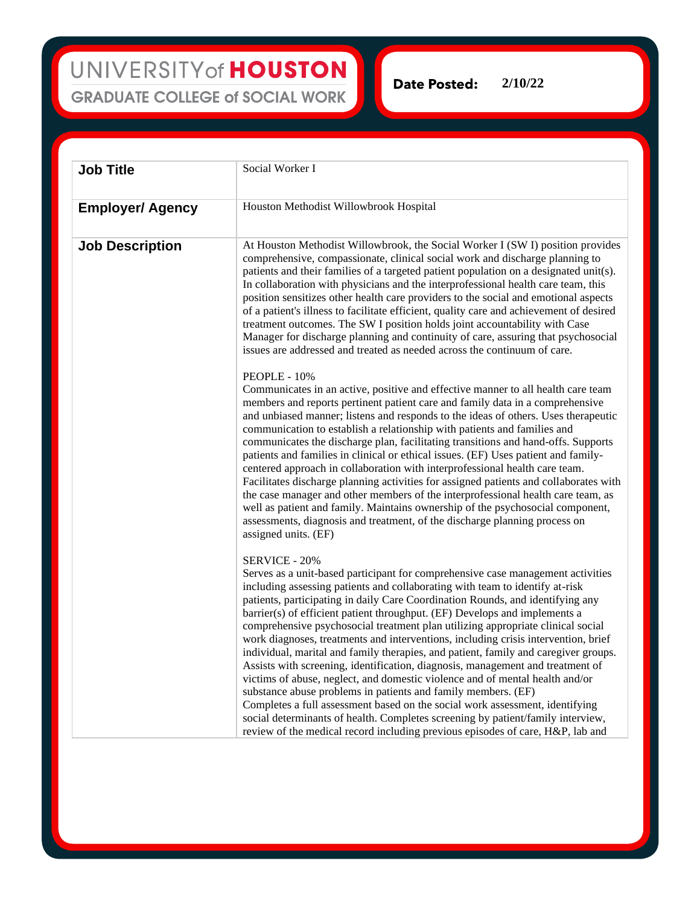## UNIVERSITY of HOUSTON **GRADUATE COLLEGE of SOCIAL WORK**

**Date Posted: 2/10/22**

| <b>Job Title</b>        | Social Worker I                                                                                                                                                                                                                                                                                                                                                                                                                                                                                                                                                                                                                                                                                                                                                                                                                                                                                                                                                                                                                                                                                          |
|-------------------------|----------------------------------------------------------------------------------------------------------------------------------------------------------------------------------------------------------------------------------------------------------------------------------------------------------------------------------------------------------------------------------------------------------------------------------------------------------------------------------------------------------------------------------------------------------------------------------------------------------------------------------------------------------------------------------------------------------------------------------------------------------------------------------------------------------------------------------------------------------------------------------------------------------------------------------------------------------------------------------------------------------------------------------------------------------------------------------------------------------|
| <b>Employer/ Agency</b> | Houston Methodist Willowbrook Hospital                                                                                                                                                                                                                                                                                                                                                                                                                                                                                                                                                                                                                                                                                                                                                                                                                                                                                                                                                                                                                                                                   |
| <b>Job Description</b>  | At Houston Methodist Willowbrook, the Social Worker I (SW I) position provides<br>comprehensive, compassionate, clinical social work and discharge planning to<br>patients and their families of a targeted patient population on a designated unit(s).<br>In collaboration with physicians and the interprofessional health care team, this<br>position sensitizes other health care providers to the social and emotional aspects<br>of a patient's illness to facilitate efficient, quality care and achievement of desired<br>treatment outcomes. The SW I position holds joint accountability with Case<br>Manager for discharge planning and continuity of care, assuring that psychosocial<br>issues are addressed and treated as needed across the continuum of care.                                                                                                                                                                                                                                                                                                                            |
|                         | PEOPLE - 10%<br>Communicates in an active, positive and effective manner to all health care team<br>members and reports pertinent patient care and family data in a comprehensive<br>and unbiased manner; listens and responds to the ideas of others. Uses therapeutic<br>communication to establish a relationship with patients and families and<br>communicates the discharge plan, facilitating transitions and hand-offs. Supports<br>patients and families in clinical or ethical issues. (EF) Uses patient and family-<br>centered approach in collaboration with interprofessional health care team.<br>Facilitates discharge planning activities for assigned patients and collaborates with<br>the case manager and other members of the interprofessional health care team, as<br>well as patient and family. Maintains ownership of the psychosocial component,<br>assessments, diagnosis and treatment, of the discharge planning process on<br>assigned units. (EF)                                                                                                                       |
|                         | SERVICE - 20%<br>Serves as a unit-based participant for comprehensive case management activities<br>including assessing patients and collaborating with team to identify at-risk<br>patients, participating in daily Care Coordination Rounds, and identifying any<br>barrier(s) of efficient patient throughput. (EF) Develops and implements a<br>comprehensive psychosocial treatment plan utilizing appropriate clinical social<br>work diagnoses, treatments and interventions, including crisis intervention, brief<br>individual, marital and family therapies, and patient, family and caregiver groups.<br>Assists with screening, identification, diagnosis, management and treatment of<br>victims of abuse, neglect, and domestic violence and of mental health and/or<br>substance abuse problems in patients and family members. (EF)<br>Completes a full assessment based on the social work assessment, identifying<br>social determinants of health. Completes screening by patient/family interview,<br>review of the medical record including previous episodes of care, H&P, lab and |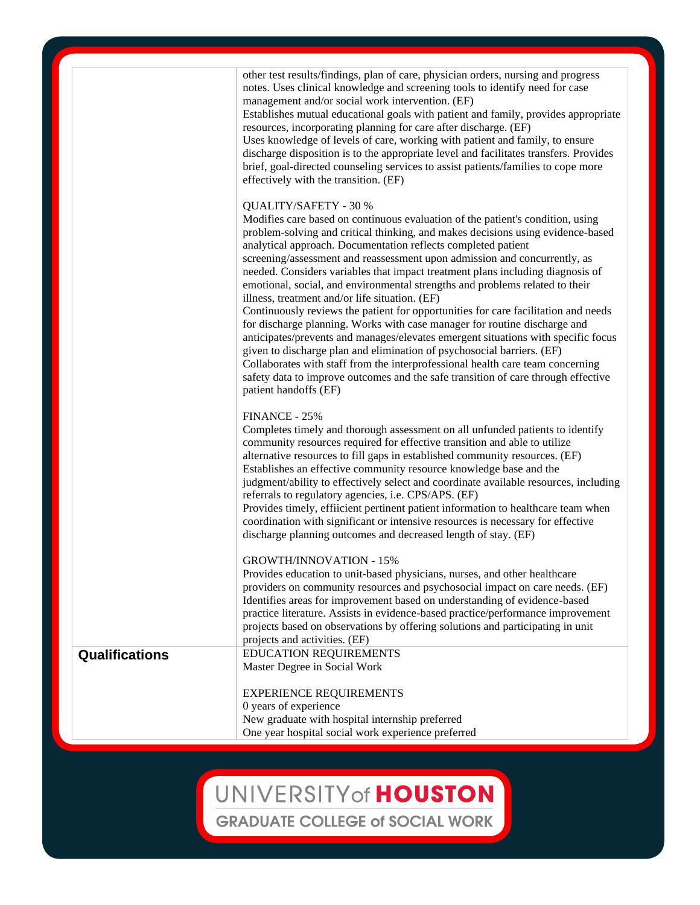|                       | other test results/findings, plan of care, physician orders, nursing and progress<br>notes. Uses clinical knowledge and screening tools to identify need for case<br>management and/or social work intervention. (EF)<br>Establishes mutual educational goals with patient and family, provides appropriate<br>resources, incorporating planning for care after discharge. (EF)<br>Uses knowledge of levels of care, working with patient and family, to ensure<br>discharge disposition is to the appropriate level and facilitates transfers. Provides<br>brief, goal-directed counseling services to assist patients/families to cope more<br>effectively with the transition. (EF)                                                                                                                                                                                                                                                                                                                                                                                                         |
|-----------------------|------------------------------------------------------------------------------------------------------------------------------------------------------------------------------------------------------------------------------------------------------------------------------------------------------------------------------------------------------------------------------------------------------------------------------------------------------------------------------------------------------------------------------------------------------------------------------------------------------------------------------------------------------------------------------------------------------------------------------------------------------------------------------------------------------------------------------------------------------------------------------------------------------------------------------------------------------------------------------------------------------------------------------------------------------------------------------------------------|
|                       | QUALITY/SAFETY - 30 %<br>Modifies care based on continuous evaluation of the patient's condition, using<br>problem-solving and critical thinking, and makes decisions using evidence-based<br>analytical approach. Documentation reflects completed patient<br>screening/assessment and reassessment upon admission and concurrently, as<br>needed. Considers variables that impact treatment plans including diagnosis of<br>emotional, social, and environmental strengths and problems related to their<br>illness, treatment and/or life situation. (EF)<br>Continuously reviews the patient for opportunities for care facilitation and needs<br>for discharge planning. Works with case manager for routine discharge and<br>anticipates/prevents and manages/elevates emergent situations with specific focus<br>given to discharge plan and elimination of psychosocial barriers. (EF)<br>Collaborates with staff from the interprofessional health care team concerning<br>safety data to improve outcomes and the safe transition of care through effective<br>patient handoffs (EF) |
|                       | FINANCE - 25%<br>Completes timely and thorough assessment on all unfunded patients to identify<br>community resources required for effective transition and able to utilize<br>alternative resources to fill gaps in established community resources. (EF)<br>Establishes an effective community resource knowledge base and the<br>judgment/ability to effectively select and coordinate available resources, including<br>referrals to regulatory agencies, i.e. CPS/APS. (EF)<br>Provides timely, effiicient pertinent patient information to healthcare team when<br>coordination with significant or intensive resources is necessary for effective<br>discharge planning outcomes and decreased length of stay. (EF)                                                                                                                                                                                                                                                                                                                                                                     |
|                       | <b>GROWTH/INNOVATION - 15%</b><br>Provides education to unit-based physicians, nurses, and other healthcare<br>providers on community resources and psychosocial impact on care needs. (EF)<br>Identifies areas for improvement based on understanding of evidence-based<br>practice literature. Assists in evidence-based practice/performance improvement<br>projects based on observations by offering solutions and participating in unit<br>projects and activities. (EF)                                                                                                                                                                                                                                                                                                                                                                                                                                                                                                                                                                                                                 |
| <b>Qualifications</b> | EDUCATION REQUIREMENTS<br>Master Degree in Social Work<br><b>EXPERIENCE REQUIREMENTS</b><br>0 years of experience<br>New graduate with hospital internship preferred<br>One year hospital social work experience preferred                                                                                                                                                                                                                                                                                                                                                                                                                                                                                                                                                                                                                                                                                                                                                                                                                                                                     |

## UNIVERSITY of HOUSTON

**GRADUATE COLLEGE of SOCIAL WORK**